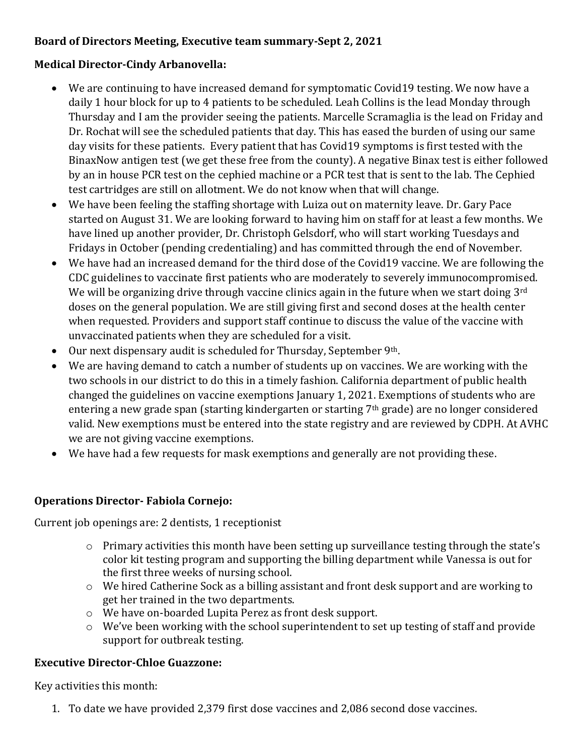# **Board of Directors Meeting, Executive team summary-Sept 2, 2021**

#### **Medical Director-Cindy Arbanovella:**

- We are continuing to have increased demand for symptomatic Covid19 testing. We now have a daily 1 hour block for up to 4 patients to be scheduled. Leah Collins is the lead Monday through Thursday and I am the provider seeing the patients. Marcelle Scramaglia is the lead on Friday and Dr. Rochat will see the scheduled patients that day. This has eased the burden of using our same day visits for these patients. Every patient that has Covid19 symptoms is first tested with the BinaxNow antigen test (we get these free from the county). A negative Binax test is either followed by an in house PCR test on the cephied machine or a PCR test that is sent to the lab. The Cephied test cartridges are still on allotment. We do not know when that will change.
- We have been feeling the staffing shortage with Luiza out on maternity leave. Dr. Gary Pace started on August 31. We are looking forward to having him on staff for at least a few months. We have lined up another provider, Dr. Christoph Gelsdorf, who will start working Tuesdays and Fridays in October (pending credentialing) and has committed through the end of November.
- We have had an increased demand for the third dose of the Covid19 vaccine. We are following the CDC guidelines to vaccinate first patients who are moderately to severely immunocompromised. We will be organizing drive through vaccine clinics again in the future when we start doing 3<sup>rd</sup> doses on the general population. We are still giving first and second doses at the health center when requested. Providers and support staff continue to discuss the value of the vaccine with unvaccinated patients when they are scheduled for a visit.
- Our next dispensary audit is scheduled for Thursday, September 9th.
- We are having demand to catch a number of students up on vaccines. We are working with the two schools in our district to do this in a timely fashion. California department of public health changed the guidelines on vaccine exemptions January 1, 2021. Exemptions of students who are entering a new grade span (starting kindergarten or starting 7<sup>th</sup> grade) are no longer considered valid. New exemptions must be entered into the state registry and are reviewed by CDPH. At AVHC we are not giving vaccine exemptions.
- We have had a few requests for mask exemptions and generally are not providing these.

#### **Operations Director- Fabiola Cornejo:**

Current job openings are: 2 dentists, 1 receptionist

- o Primary activities this month have been setting up surveillance testing through the state's color kit testing program and supporting the billing department while Vanessa is out for the first three weeks of nursing school.
- o We hired Catherine Sock as a billing assistant and front desk support and are working to get her trained in the two departments.
- o We have on-boarded Lupita Perez as front desk support.
- o We've been working with the school superintendent to set up testing of staff and provide support for outbreak testing.

#### **Executive Director-Chloe Guazzone:**

Key activities this month:

1. To date we have provided 2,379 first dose vaccines and 2,086 second dose vaccines.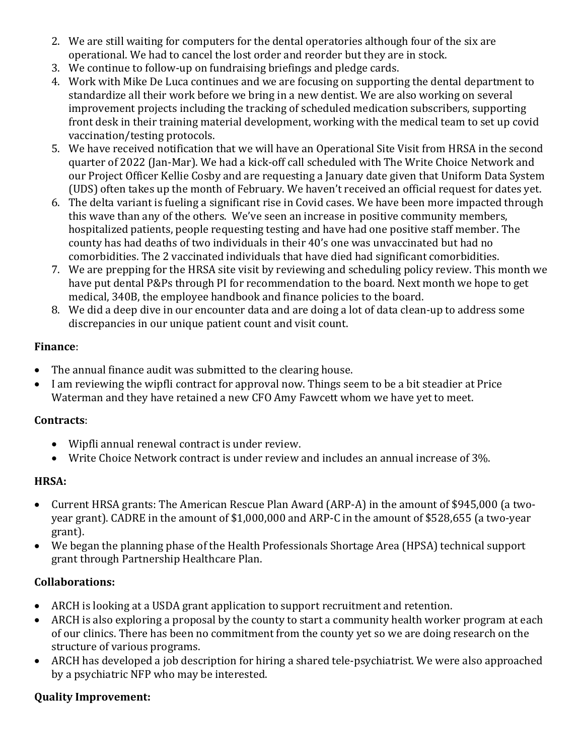- 2. We are still waiting for computers for the dental operatories although four of the six are operational. We had to cancel the lost order and reorder but they are in stock.
- 3. We continue to follow-up on fundraising briefings and pledge cards.
- 4. Work with Mike De Luca continues and we are focusing on supporting the dental department to standardize all their work before we bring in a new dentist. We are also working on several improvement projects including the tracking of scheduled medication subscribers, supporting front desk in their training material development, working with the medical team to set up covid vaccination/testing protocols.
- 5. We have received notification that we will have an Operational Site Visit from HRSA in the second quarter of 2022 (Jan-Mar). We had a kick-off call scheduled with The Write Choice Network and our Project Officer Kellie Cosby and are requesting a January date given that Uniform Data System (UDS) often takes up the month of February. We haven't received an official request for dates yet.
- 6. The delta variant is fueling a significant rise in Covid cases. We have been more impacted through this wave than any of the others. We've seen an increase in positive community members, hospitalized patients, people requesting testing and have had one positive staff member. The county has had deaths of two individuals in their 40's one was unvaccinated but had no comorbidities. The 2 vaccinated individuals that have died had significant comorbidities.
- 7. We are prepping for the HRSA site visit by reviewing and scheduling policy review. This month we have put dental P&Ps through PI for recommendation to the board. Next month we hope to get medical, 340B, the employee handbook and finance policies to the board.
- 8. We did a deep dive in our encounter data and are doing a lot of data clean-up to address some discrepancies in our unique patient count and visit count.

# **Finance**:

- The annual finance audit was submitted to the clearing house.
- I am reviewing the wipfli contract for approval now. Things seem to be a bit steadier at Price Waterman and they have retained a new CFO Amy Fawcett whom we have yet to meet.

# **Contracts**:

- Wipfli annual renewal contract is under review.
- Write Choice Network contract is under review and includes an annual increase of 3%.

# **HRSA:**

- Current HRSA grants: The American Rescue Plan Award (ARP-A) in the amount of \$945,000 (a twoyear grant). CADRE in the amount of \$1,000,000 and ARP-C in the amount of \$528,655 (a two-year grant).
- We began the planning phase of the Health Professionals Shortage Area (HPSA) technical support grant through Partnership Healthcare Plan.

# **Collaborations:**

- ARCH is looking at a USDA grant application to support recruitment and retention.
- ARCH is also exploring a proposal by the county to start a community health worker program at each of our clinics. There has been no commitment from the county yet so we are doing research on the structure of various programs.
- ARCH has developed a job description for hiring a shared tele-psychiatrist. We were also approached by a psychiatric NFP who may be interested.

# **Quality Improvement:**